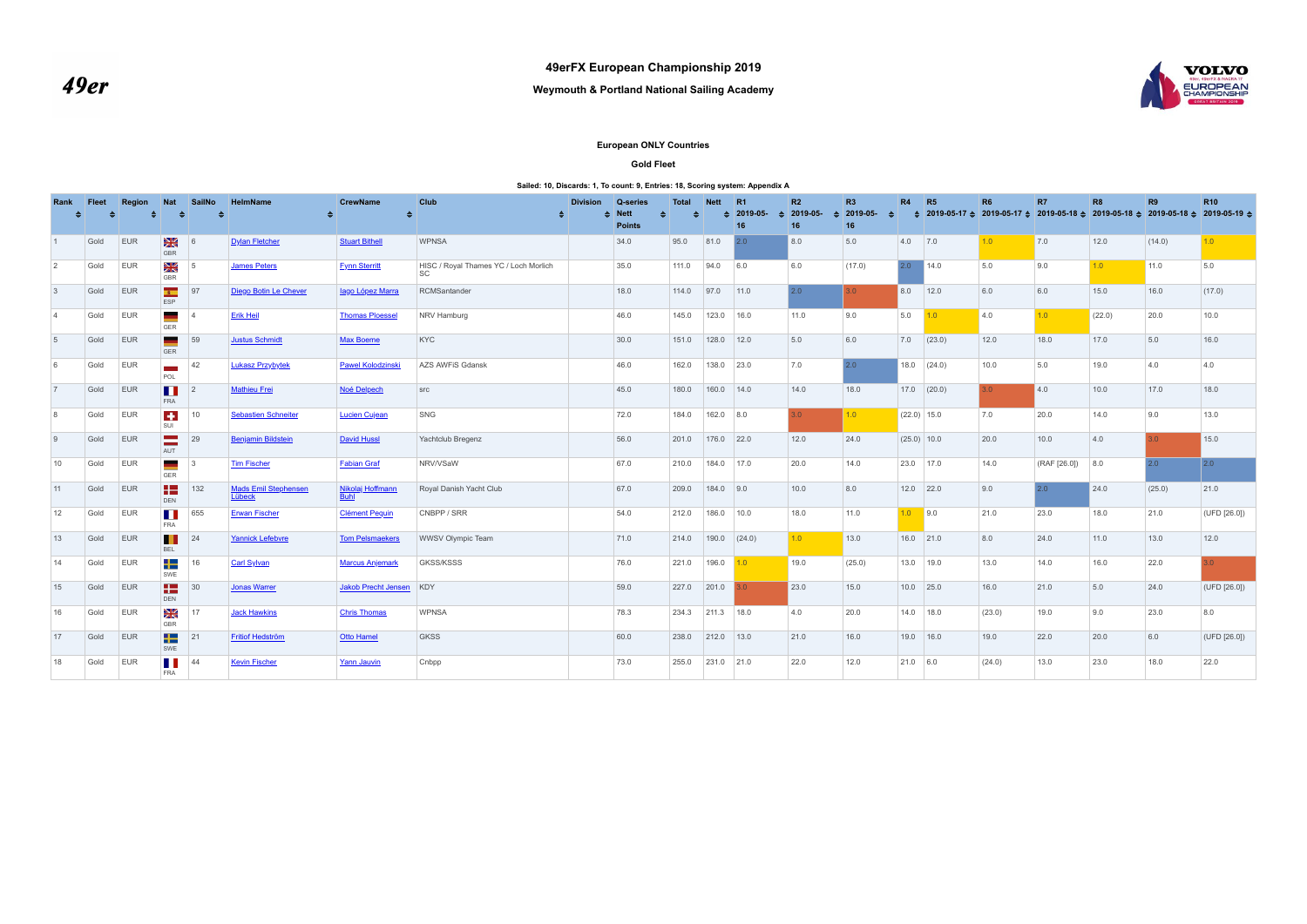49er

## **Weymouth & Portland National Sailing Academy**



## **European ONLY Countries**

**Gold Fleet**

**Sailed: 10, Discards: 1, To count: 9, Entries: 18, Scoring system: Appendix A**

| Rank            | <b>Fleet</b> | Region     | <b>Nat</b>          | <b>SailNo</b>  | <b>HelmName</b>                       | <b>CrewName</b>                 | <b>Club</b>                                 | <b>Division</b> | Q-series                     | Total | <b>Nett</b> | R1                  | R2                             | R <sub>3</sub>                | R4            | R <sub>5</sub>   | R <sub>6</sub>   | R7                                                                              | R <sub>8</sub> | R9     | R <sub>10</sub> |
|-----------------|--------------|------------|---------------------|----------------|---------------------------------------|---------------------------------|---------------------------------------------|-----------------|------------------------------|-------|-------------|---------------------|--------------------------------|-------------------------------|---------------|------------------|------------------|---------------------------------------------------------------------------------|----------------|--------|-----------------|
|                 |              |            |                     |                |                                       |                                 |                                             |                 | <b>Nett</b><br><b>Points</b> |       | ٠           | 2019-05-<br>≜<br>16 | 2019-05-<br>$\triangleq$<br>16 | 2019-05-<br>$\triangle$<br>16 |               |                  |                  | → 2019-05-17 → 2019-05-17 → 2019-05-18 → 2019-05-18 → 2019-05-18 → 2019-05-19 → |                |        |                 |
|                 | Gold         | <b>EUR</b> | Ж                   | 6              | <b>Dylan Fletcher</b>                 | <b>Stuart Bithell</b>           | <b>WPNSA</b>                                |                 | 34.0                         | 95.0  | 81.0        | 2.0                 | 8.0                            | 5.0                           | 4.0           | 7.0              | 1.0 <sub>1</sub> | 7.0                                                                             | 12.0           | (14.0) | 1.0             |
|                 |              |            | GBR                 |                |                                       |                                 |                                             |                 |                              |       |             |                     |                                |                               |               |                  |                  |                                                                                 |                |        |                 |
| $\vert$ 2       | Gold         | <b>EUR</b> | Ж<br>GBR            | $\overline{5}$ | <b>James Peters</b>                   | <b>Fynn Sterritt</b>            | HISC / Royal Thames YC / Loch Morlich<br>SC |                 | 35.0                         | 111.0 | 94.0        | 6.0                 | 6.0                            | (17.0)                        | 2.0           | 14.0             | 5.0              | 9.0                                                                             | 1.0            | 11.0   | 5.0             |
| 3               | Gold         | <b>EUR</b> | $\mathbf{f}$<br>ESP | 97             | Diego Botin Le Chever                 | lago López Marra                | RCMSantander                                |                 | 18.0                         | 114.0 | 97.0        | 11.0                | 2.0                            | 3.0 <sub>1</sub>              | 8.0           | 12.0             | 6.0              | 6.0                                                                             | 15.0           | 16.0   | (17.0)          |
| $\vert 4 \vert$ | Gold         | <b>EUR</b> | $\sim$<br>GER       | $\Delta$       | <b>Erik Heil</b>                      | <b>Thomas Ploessel</b>          | NRV Hamburg                                 |                 | 46.0                         | 145.0 | 123.0       | 16.0                | 11.0                           | 9.0                           | 5.0           | 1.0 <sub>1</sub> | 4.0              | 1.0                                                                             | (22.0)         | 20.0   | 10.0            |
| 5               | Gold         | <b>EUR</b> | ÷.<br>GER           | 59             | <b>Justus Schmidt</b>                 | <b>Max Boeme</b>                | KYC                                         |                 | 30.0                         | 151.0 | 128.0       | $12.0$              | 5.0                            | 6.0                           | 7.0           | (23.0)           | 12.0             | 18.0                                                                            | 17.0           | 5.0    | 16.0            |
| 6               | Gold         | <b>EUR</b> | $\equiv$<br>POL     | 42             | <b>Lukasz Przybytek</b>               | <b>Pawel Kolodzinski</b>        | AZS AWFIS Gdansk                            |                 | 46.0                         | 162.0 | 138.0       | 23.0                | 7.0                            | 2.0                           | 18.0          | (24.0)           | 10.0             | 5.0                                                                             | 19.0           | 4.0    | 4.0             |
| $\vert$ 7       | Gold         | <b>EUR</b> | п<br>FRA            | $\overline{2}$ | <b>Mathieu Frei</b>                   | Noé Delpech                     | src                                         |                 | 45.0                         | 180.0 | 160.0       | 14.0                | 14.0                           | 18.0                          |               | $17.0$ (20.0)    | 3.0 <sub>2</sub> | 4.0                                                                             | 10.0           | 17.0   | 18.0            |
| 8               | Gold         | <b>EUR</b> | $\bullet$<br>SUI    | 10             | <b>Sebastien Schneiter</b>            | <b>Lucien Cujean</b>            | SNG                                         |                 | 72.0                         | 184.0 | 162.0       | 8.0                 | 3.0                            | 1.0 <sub>1</sub>              | $(22.0)$ 15.0 |                  | 7.0              | 20.0                                                                            | 14.0           | 9.0    | 13.0            |
| <u>g</u>        | Gold         | <b>EUR</b> | $\equiv$<br>AUT     | 29             | <b>Benjamin Bildstein</b>             | <b>David Hussl</b>              | Yachtclub Bregenz                           |                 | 56.0                         | 201.0 | 176.0 22.0  |                     | 12.0                           | 24.0                          | $(25.0)$ 10.0 |                  | 20.0             | 10.0                                                                            | 4.0            | 3.0    | 15.0            |
| 10              | Gold         | <b>EUR</b> | $\equiv$<br>GER     | 3              | <b>Tim Fischer</b>                    | <b>Fabian Graf</b>              | NRV/VSaW                                    |                 | 67.0                         | 210.0 | 184.0 17.0  |                     | 20.0                           | 14.0                          | 23.0 17.0     |                  | 14.0             | (RAF [26.0])                                                                    | 8.0            | 2.0    | 2.0             |
| 11              | Gold         | <b>EUR</b> | æ<br>DEN            | 132            | <b>Mads Emil Stephensen</b><br>Lübeck | Nikolaj Hoffmann<br><b>Buhl</b> | Royal Danish Yacht Club                     |                 | 67.0                         | 209.0 | $184.0$ 9.0 |                     | 10.0                           | 8.0                           |               | $12.0$ 22.0      | 9.0              | 2.0                                                                             | 24.0           | (25.0) | 21.0            |
| 12              | Gold         | <b>EUR</b> | п<br>FRA            | 655            | <b>Erwan Fischer</b>                  | <b>Clément Pequin</b>           | CNBPP / SRR                                 |                 | 54.0                         | 212.0 | 186.0       | 10.0                | 18.0                           | 11.0                          | $1.0$ 9.0     |                  | 21.0             | 23.0                                                                            | 18.0           | 21.0   | (UFD [26.0])    |
| 13              | Gold         | <b>EUR</b> | Ш<br><b>BEL</b>     | 24             | <b>Yannick Lefebvre</b>               | <b>Tom Pelsmaekers</b>          | WWSV Olympic Team                           |                 | 71.0                         | 214.0 | 190.0       | (24.0)              | 1.0                            | 13.0                          |               | $16.0$ 21.0      | 8.0              | 24.0                                                                            | 11.0           | 13.0   | 12.0            |
| 14              | Gold         | <b>EUR</b> | ┿<br>SWE            | 16             | <b>Carl Sylvan</b>                    | <b>Marcus Anjemark</b>          | <b>GKSS/KSSS</b>                            |                 | 76.0                         | 221.0 | 196.0       | 1.0                 | 19.0                           | (25.0)                        |               | $13.0$ 19.0      | 13.0             | 14.0                                                                            | 16.0           | 22.0   | 3.0             |
| 15              | Gold         | <b>EUR</b> | æ<br>DEN            | $30\,$         | <b>Jonas Warrer</b>                   | <b>Jakob Precht Jensen</b>      | KDY                                         |                 | 59.0                         | 227.0 | 201.0       | 3.0                 | 23.0                           | 15.0                          |               | $10.0$ 25.0      | 16.0             | 21.0                                                                            | 5.0            | 24.0   | (UFD [26.0])    |
| 16              | Gold         | <b>EUR</b> | NK.<br>ZK.<br>GBR   | 17             | <b>Jack Hawkins</b>                   | <b>Chris Thomas</b>             | <b>WPNSA</b>                                |                 | 78.3                         | 234.3 | 211.3 18.0  |                     | 4.0                            | 20.0                          |               | $14.0$ 18.0      | (23.0)           | 19.0                                                                            | 9.0            | 23.0   | 8.0             |
| 17              | Gold         | <b>EUR</b> | ╄<br>SWE            | 21             | <b>Fritiof Hedström</b>               | Otto Hamel                      | <b>GKSS</b>                                 |                 | 60.0                         | 238.0 | 212.0       | 13.0                | 21.0                           | 16.0                          | 19.0          | 16.0             | 19.0             | 22.0                                                                            | 20.0           | 6.0    | (UFD [26.0])    |
| 18              | Gold         | <b>EUR</b> | ш<br><b>FRA</b>     | 44             | <b>Kevin Fischer</b>                  | <b>Yann Jauvin</b>              | Cnbpp                                       |                 | 73.0                         | 255.0 | 231.0       | 21.0                | 22.0                           | 12.0                          | 21.0          | 6.0              | (24.0)           | 13.0                                                                            | 23.0           | 18.0   | 22.0            |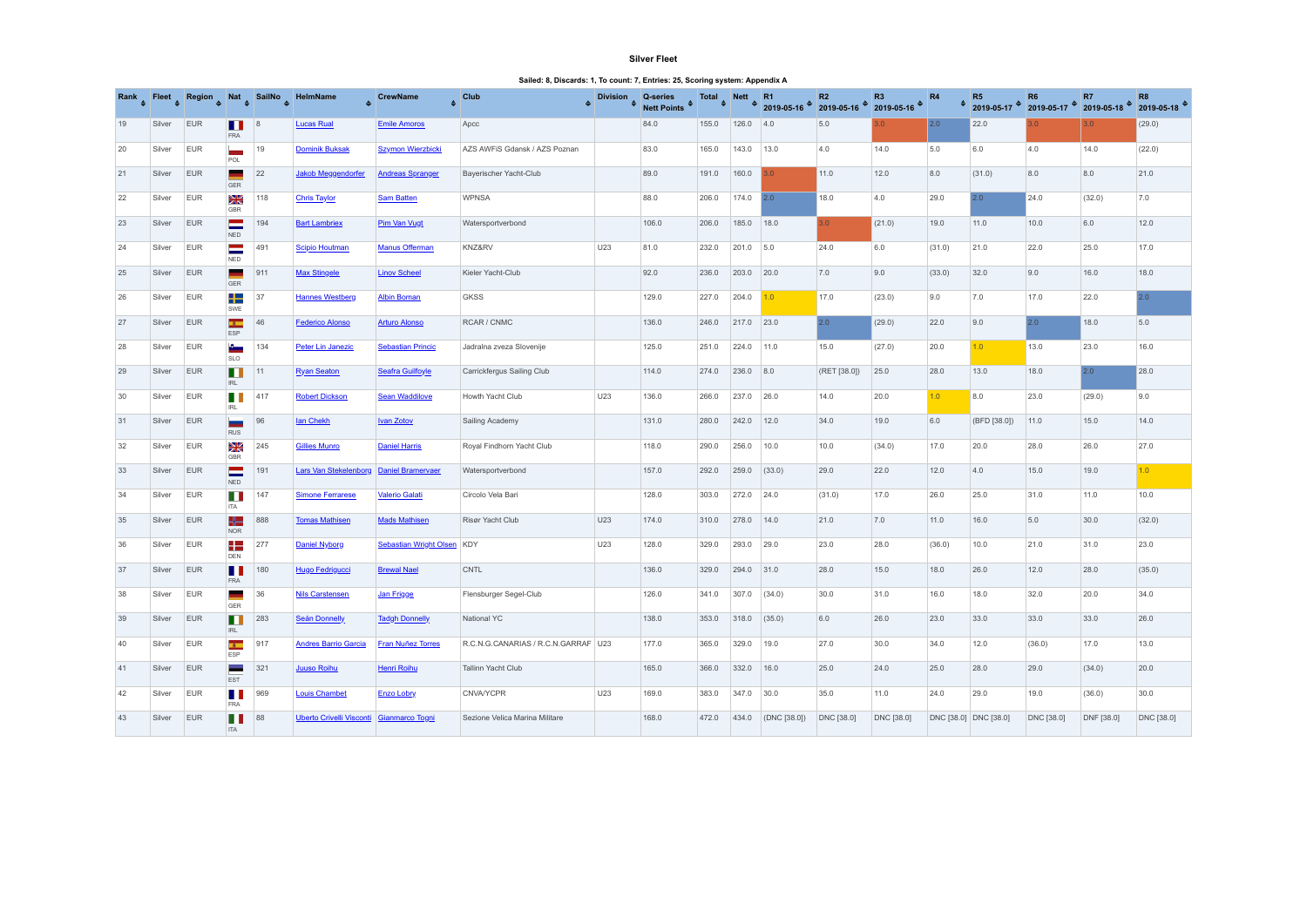## **Silver Fleet**

**Sailed: 8, Discards: 1, To count: 7, Entries: 25, Scoring system: Appendix A**

|    |        |            |                                |     | Rank $\frac{1}{\phi}$ Fleet $\frac{1}{\phi}$ Region $\frac{1}{\phi}$ Nat $\frac{1}{\phi}$ SailNo $\frac{1}{\phi}$ HelmName<br>$\triangleq$ | <b>CrewName</b>          | $\triangle$ Club                      |            |       |       |             |                  |              |                  |                  | $\frac{1}{2}$ R5<br>2019-05-17 $\stackrel{+}{\leftarrow}$ R6<br>2019-05-17 $\stackrel{+}{\leftarrow}$ 2019-05-18 $\stackrel{+}{\leftarrow}$ 2019-05-18 |            |            |            |
|----|--------|------------|--------------------------------|-----|--------------------------------------------------------------------------------------------------------------------------------------------|--------------------------|---------------------------------------|------------|-------|-------|-------------|------------------|--------------|------------------|------------------|--------------------------------------------------------------------------------------------------------------------------------------------------------|------------|------------|------------|
| 19 | Silver | <b>EUR</b> | $\blacksquare$ 8<br><b>FRA</b> |     | <b>Lucas Rual</b>                                                                                                                          | <b>Emile Amoros</b>      | Apcc                                  |            | 84.0  | 155.0 | $126.0$ 4.0 |                  | 5.0          | 3.0 <sub>2</sub> | 2.0              | 22.0                                                                                                                                                   | n s        |            | (29.0)     |
| 20 | Silver | <b>EUR</b> | $\equiv$<br>POL                | 19  | <b>Dominik Buksak</b>                                                                                                                      | <b>Szymon Wierzbicki</b> | AZS AWFIS Gdansk / AZS Poznan         |            | 83.0  | 165.0 | 143.0       | 13.0             | 4.0          | 14.0             | 5.0              | 6.0                                                                                                                                                    | 4.0        | 14.0       | (22.0)     |
| 21 | Silver | <b>EUR</b> | <b>College</b><br>GER          | 22  | <b>Jakob Meggendorfer</b>                                                                                                                  | <b>Andreas Spranger</b>  | Bayerischer Yacht-Club                |            | 89.0  | 191.0 | 160.0       | 3.0 <sub>1</sub> | 11.0         | 12.0             | 8.0              | (31.0)                                                                                                                                                 | 8.0        | 8.0        | 21.0       |
| 22 | Silver | <b>EUR</b> | ₹€<br>GBR                      | 118 | <b>Chris Taylor</b>                                                                                                                        | <b>Sam Batten</b>        | <b>WPNSA</b>                          |            | 88.0  | 206.0 | 174.0       | 2.0              | 18.0         | 4.0              | 29.0             | 2.0                                                                                                                                                    | 24.0       | (32.0)     | 7.0        |
| 23 | Silver | <b>EUR</b> | Ξ<br><b>NED</b>                | 194 | <b>Bart Lambriex</b>                                                                                                                       | <b>Pim Van Vugt</b>      | Watersportverbond                     |            | 106.0 | 206.0 | 185.0       | 18.0             | 3.0          | (21.0)           | 19.0             | 11.0                                                                                                                                                   | 10.0       | 6.0        | 12.0       |
| 24 | Silver | <b>EUR</b> | $=$<br><b>NED</b>              | 491 | Scipio Houtman                                                                                                                             | <b>Manus Offerman</b>    | KNZ&RV                                | U23        | 81.0  | 232.0 | $201.0$ 5.0 |                  | 24.0         | 6.0              | (31.0)           | 21.0                                                                                                                                                   | 22.0       | 25.0       | 17.0       |
| 25 | Silver | <b>EUR</b> | =<br>GER                       | 911 | <b>Max Stingele</b>                                                                                                                        | <b>Linov Scheel</b>      | Kieler Yacht-Club                     |            | 92.0  | 236.0 | 203.0       | 20.0             | 7.0          | 9.0              | (33.0)           | 32.0                                                                                                                                                   | 9.0        | 16.0       | 18.0       |
| 26 | Silver | <b>EUR</b> | ┿<br>SWE                       | 37  | <b>Hannes Westberg</b>                                                                                                                     | <b>Albin Boman</b>       | <b>GKSS</b>                           |            | 129.0 | 227.0 | 204.0       | 1.0              | 17.0         | (23.0)           | 9.0              | 7.0                                                                                                                                                    | 17.0       | 22.0       | 2.0        |
| 27 | Silver | <b>EUR</b> | $\overline{1}$<br><b>ESP</b>   | 46  | <b>Federico Alonso</b>                                                                                                                     | <b>Arturo Alonso</b>     | RCAR / CNMC                           |            | 136.0 | 246.0 | 217.0 23.0  |                  | 2.0          | (29.0)           | 22.0             | 9.0                                                                                                                                                    | 2.0        | 18.0       | 5.0        |
| 28 | Silver | <b>EUR</b> | û.<br><b>SLO</b>               | 134 | <b>Peter Lin Janezic</b>                                                                                                                   | <b>Sebastian Princic</b> | Jadralna zveza Slovenije              |            | 125.0 | 251.0 | 224.0       | 11.0             | 15.0         | (27.0)           | 20.0             | 1.0 <sub>1</sub>                                                                                                                                       | 13.0       | 23.0       | 16.0       |
| 29 | Silver | <b>EUR</b> | Ш<br>IRL                       | 11  | <b>Ryan Seaton</b>                                                                                                                         | <b>Seafra Guilfovle</b>  | Carrickfergus Sailing Club            |            | 114.0 | 274.0 | 236.0       | 8.0              | (RET [38.0]) | 25.0             | 28.0             | 13.0                                                                                                                                                   | 18.0       | 2.0        | 28.0       |
| 30 | Silver | <b>EUR</b> | Ш<br><b>IRL</b>                | 417 | <b>Robert Dickson</b>                                                                                                                      | <b>Sean Waddilove</b>    | Howth Yacht Club                      | <b>U23</b> | 136.0 | 266.0 | 237.0       | 26.0             | 14.0         | 20.0             | 1.0 <sub>1</sub> | 8.0                                                                                                                                                    | 23.0       | (29.0)     | 9.0        |
| 31 | Silver | <b>EUR</b> | $\equiv$<br><b>RUS</b>         | 96  | lan Chekh                                                                                                                                  | <b>Ivan Zotov</b>        | Sailing Academy                       |            | 131.0 | 280.0 | 242.0       | 12.0             | 34.0         | 19.0             | 6.0              | (BFD [38.0])                                                                                                                                           | 11.0       | 15.0       | 14.0       |
| 32 | Silver | <b>EUR</b> | Ж<br>GBR                       | 245 | Gillies Munro                                                                                                                              | <b>Daniel Harris</b>     | Royal Findhorn Yacht Club             |            | 118.0 | 290.0 | 256.0       | 10.0             | 10.0         | (34.0)           | 17.0             | 20.0                                                                                                                                                   | 28.0       | 26.0       | 27.0       |
| 33 | Silver | <b>EUR</b> | Ξ<br><b>NED</b>                | 191 | Lars Van Stekelenbord                                                                                                                      | <b>Daniel Bramervaer</b> | Watersportverbond                     |            | 157.0 | 292.0 | 259.0       | (33.0)           | 29.0         | 22.0             | 12.0             | 4.0                                                                                                                                                    | 15.0       | 19.0       | 1.0        |
| 34 | Silver | <b>EUR</b> | Ш<br><b>ITA</b>                | 147 | Simone Ferrarese                                                                                                                           | <b>Valerio Galati</b>    | Circolo Vela Bari                     |            | 128.0 | 303.0 | 272.0       | 24.0             | (31.0)       | 17.0             | 26.0             | 25.0                                                                                                                                                   | 31.0       | 11.0       | 10.0       |
| 35 | Silver | <b>EUR</b> | ╬═<br><b>NOR</b>               | 888 | <b>Tomas Mathisen</b>                                                                                                                      | <b>Mads Mathisen</b>     | Risør Yacht Club                      | U23        | 174.0 | 310.0 | 278.0       | 14.0             | 21.0         | 7.0              | 11.0             | 16.0                                                                                                                                                   | 5.0        | 30.0       | (32.0)     |
| 36 | Silver | <b>EUR</b> | 22<br>DEN                      | 277 | <b>Daniel Nyborg</b>                                                                                                                       | Sebastian Wright Olsen   | KDY                                   | U23        | 128.0 | 329.0 | 293.0       | 29.0             | 23.0         | 28.0             | (36.0)           | 10.0                                                                                                                                                   | 21.0       | 31.0       | 23.0       |
| 37 | Silver | <b>EUR</b> | п<br><b>FRA</b>                | 180 | <b>Hugo Fedrigucci</b>                                                                                                                     | <b>Brewal Nael</b>       | CNTL                                  |            | 136.0 | 329.0 | 294.0       | 31.0             | 28.0         | 15.0             | 18.0             | 26.0                                                                                                                                                   | 12.0       | 28.0       | (35.0)     |
| 38 | Silver | <b>EUR</b> | <b>Contract</b><br>GER         | 36  | Nils Carstensen                                                                                                                            | Jan Frigge               | Flensburger Segel-Club                |            | 126.0 | 341.0 | 307.0       | (34.0)           | 30.0         | 31.0             | 16.0             | 18.0                                                                                                                                                   | 32.0       | 20.0       | 34.0       |
| 39 | Silver | <b>EUR</b> | Ш<br>IRL                       | 283 | Seán Donnelly                                                                                                                              | <b>Tadgh Donnelly</b>    | National YC                           |            | 138.0 | 353.0 | 318.0       | (35.0)           | 6.0          | 26.0             | 23.0             | 33.0                                                                                                                                                   | 33.0       | 33.0       | 26.0       |
| 40 | Silver | <b>EUR</b> | <b>The State</b><br>ESP        | 917 | <b>Andres Barrio Garcia</b>                                                                                                                | <b>Fran Nuñez Torres</b> | R.C.N.G.CANARIAS / R.C.N.GARRAF   U23 |            | 177.0 | 365.0 | 329.0       | 19.0             | 27.0         | 30.0             | 34.0             | 12.0                                                                                                                                                   | (36.0)     | 17.0       | 13.0       |
| 41 | Silver | <b>EUR</b> | -<br>EST                       | 321 | <b>Juuso Roihu</b>                                                                                                                         | Henri Roihu              | <b>Tallinn Yacht Club</b>             |            | 165.0 | 366.0 | 332.0       | 16.0             | 25.0         | 24.0             | 25.0             | 28.0                                                                                                                                                   | 29.0       | (34.0)     | 20.0       |
| 42 | Silver | <b>EUR</b> | Ш<br><b>FRA</b>                | 969 | Louis Chambet                                                                                                                              | <b>Enzo Lobry</b>        | CNVA/YCPR                             | U23        | 169.0 | 383.0 | 347.0       | 30.0             | 35.0         | 11.0             | 24.0             | 29.0                                                                                                                                                   | 19.0       | (36.0)     | 30.0       |
| 43 | Silver | <b>EUR</b> | Ш<br><b>ITA</b>                | 88  | Jberto Crivelli Visconti                                                                                                                   | Gianmarco Togni          | Sezione Velica Marina Militare        |            | 168.0 | 472.0 | 434.0       | (DNC [38.0])     | DNC [38.0]   | DNC [38.0]       |                  | DNC [38.0] DNC [38.0]                                                                                                                                  | DNC [38.0] | DNF [38.0] | DNC [38.0] |